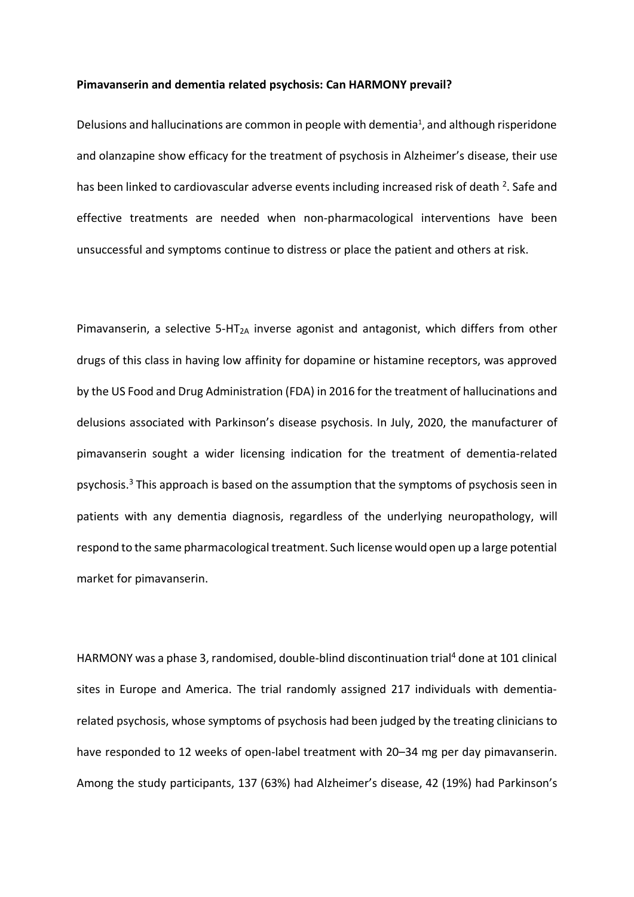## **Pimavanserin and dementia related psychosis: Can HARMONY prevail?**

Delusions and hallucinations are common in people with dementia<sup>1</sup>, and although risperidone and olanzapine show efficacy for the treatment of psychosis in Alzheimer's disease, their use has been linked to cardiovascular adverse events including increased risk of death <sup>[2](https://paperpile.com/c/FWKj2N/c4uK)</sup>. Safe and effective treatments are needed when non-pharmacological interventions have been unsuccessful and symptoms continue to distress or place the patient and others at risk.

Pimavanserin, a selective 5-HT<sub>2A</sub> inverse agonist and antagonist, which differs from other drugs of this class in having low affinity for dopamine or histamine receptors, was approved by the US Food and Drug Administration (FDA) in 2016 for the treatment of hallucinations and delusions associated with Parkinson's disease psychosis. In July, 2020, the manufacturer of pimavanserin sought a wider licensing indication for the treatment of dementia-related psychosis.<sup>3</sup> This approach is based on the assumption that the symptoms of psychosis seen in patients with any dementia diagnosis, regardless of the underlying neuropathology, will respond to the same pharmacological treatment. Such license would open up a large potential market for pimavanserin.

HARMONY was a phase 3, randomised, double-blind discontinuation trial<sup>4</sup> done at 101 clinical sites in Europe and America. The trial randomly assigned 217 individuals with dementiarelated psychosis, whose symptoms of psychosis had been judged by the treating clinicians to have responded to 12 weeks of open-label treatment with 20–34 mg per day pimavanserin. Among the study participants, 137 (63%) had Alzheimer's disease, 42 (19%) had Parkinson's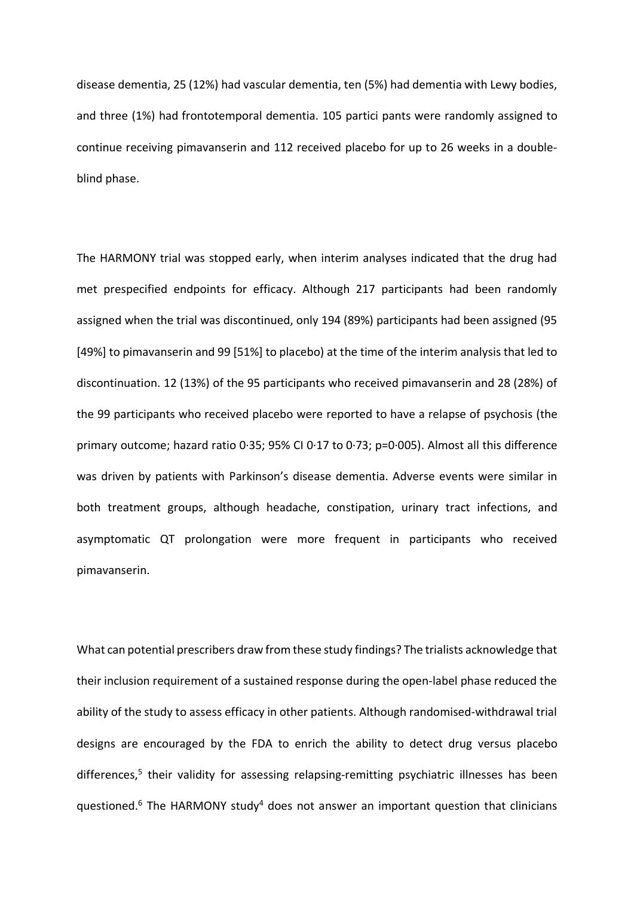disease dementia, 25 (12%) had vascular dementia, ten (5%) had dementia with Lewy bodies, and three (1%) had frontotemporal dementia. 105 partici pants were randomly assigned to continue receiving pimavanserin and 112 received placebo for up to 26 weeks in a doubleblind phase.

The HARMONY trial was stopped early, when interim analyses indicated that the drug had met prespecified endpoints for efficacy. Although 217 participants had been randomly assigned when the trial was discontinued, only 194 (89%) participants had been assigned (95 [49%] to pimavanserin and 99 [51%] to placebo) at the time of the interim analysis that led to discontinuation. 12 (13%) of the 95 participants who received pimavanserin and 28 (28%) of the 99 participants who received placebo were reported to have a relapse of psychosis (the primary outcome; hazard ratio 0·35; 95% CI 0·17 to 0·73; p=0·005). Almost all this difference was driven by patients with Parkinson's disease dementia. Adverse events were similar in both treatment groups, although headache, constipation, urinary tract infections, and asymptomatic QT prolongation were more frequent in participants who received pimavanserin.

What can potential prescribers draw from these study findings? The trialists acknowledge that their inclusion requirement of a sustained response during the open-label phase reduced the ability of the study to assess efficacy in other patients. Although randomised-withdrawal trial designs are encouraged by the FDA to enrich the ability to detect drug versus placebo differences,<sup>5</sup> their validity for assessing relapsing-remitting psychiatric illnesses has been questioned. $6$  The HARMONY study<sup>4</sup> does not answer an important question that clinicians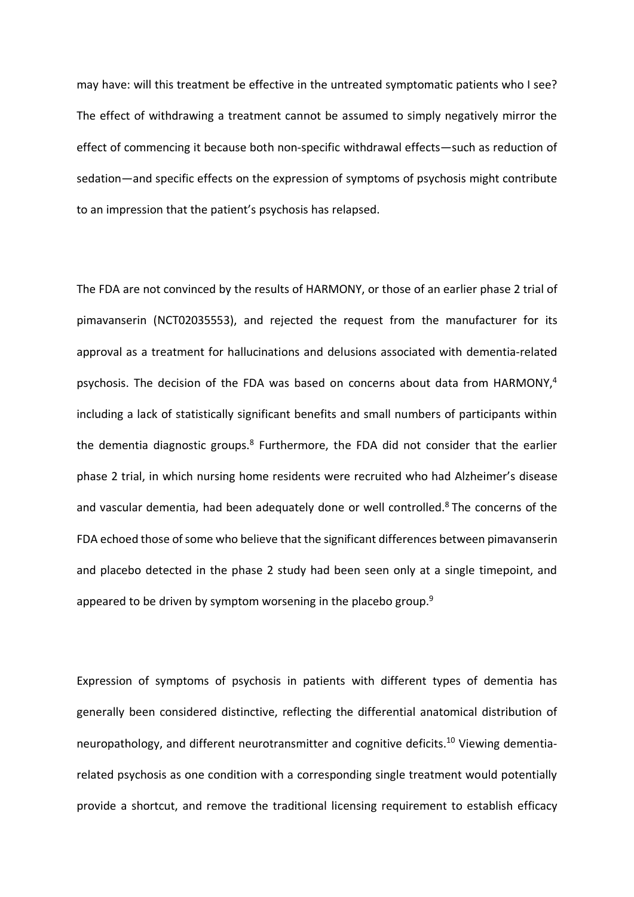may have: will this treatment be effective in the untreated symptomatic patients who I see? The effect of withdrawing a treatment cannot be assumed to simply negatively mirror the effect of commencing it because both non-specific withdrawal effects—such as reduction of sedation—and specific effects on the expression of symptoms of psychosis might contribute to an impression that the patient's psychosis has relapsed.

The FDA are not convinced by the results of HARMONY, or those of an earlier phase 2 trial of pimavanserin (NCT02035553), and rejected the request from the manufacturer for its approval as a treatment for hallucinations and delusions associated with dementia-related psychosis. The decision of the FDA was based on concerns about data from HARMONY,<sup>4</sup> including a lack of statistically significant benefits and small numbers of participants within the dementia diagnostic groups. $8$  Furthermore, the FDA did not consider that the earlier phase 2 trial, in which nursing home residents were recruited who had Alzheimer's disease and vascular dementia, had been adequately done or well controlled.<sup>8</sup> The concerns of the FDA echoed those of some who believe that the significant differences between pimavanserin and placebo detected in the phase 2 study had been seen only at a single timepoint, and appeared to be driven by symptom worsening in the placebo group.<sup>9</sup>

Expression of symptoms of psychosis in patients with different types of dementia has generally been considered distinctive, reflecting the differential anatomical distribution of neuropathology, and different neurotransmitter and cognitive deficits.<sup>10</sup> Viewing dementiarelated psychosis as one condition with a corresponding single treatment would potentially provide a shortcut, and remove the traditional licensing requirement to establish efficacy